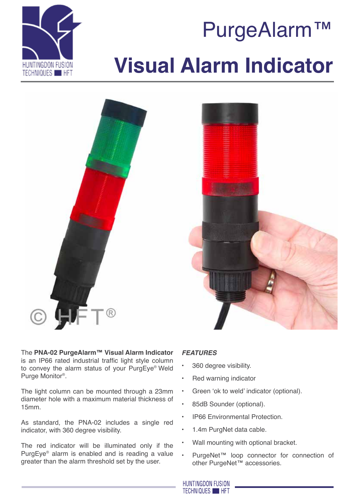

# PurgeAlarm™ **Visual Alarm Indicator**





The **PNA-02 PurgeAlarm™ Visual Alarm Indicator** is an IP66 rated industrial traffic light style column to convey the alarm status of your PurgEye® Weld Purge Monitor®.

The light column can be mounted through a 23mm diameter hole with a maximum material thickness of 15mm.

As standard, the PNA-02 includes a single red indicator, with 360 degree visibility.

The red indicator will be illuminated only if the PurgEye® alarm is enabled and is reading a value greater than the alarm threshold set by the user.

## *Features*

- 360 degree visibility.
- Red warning indicator
- Green 'ok to weld' indicator (optional).
- 85dB Sounder (optional).
- IP66 Environmental Protection.
- 1.4m PurgNet data cable.
- Wall mounting with optional bracket.
- PurgeNet™ loop connector for connection of other PurgeNet™ accessories.

**HUNTINGDON FUSION TECHNIQUES HET**